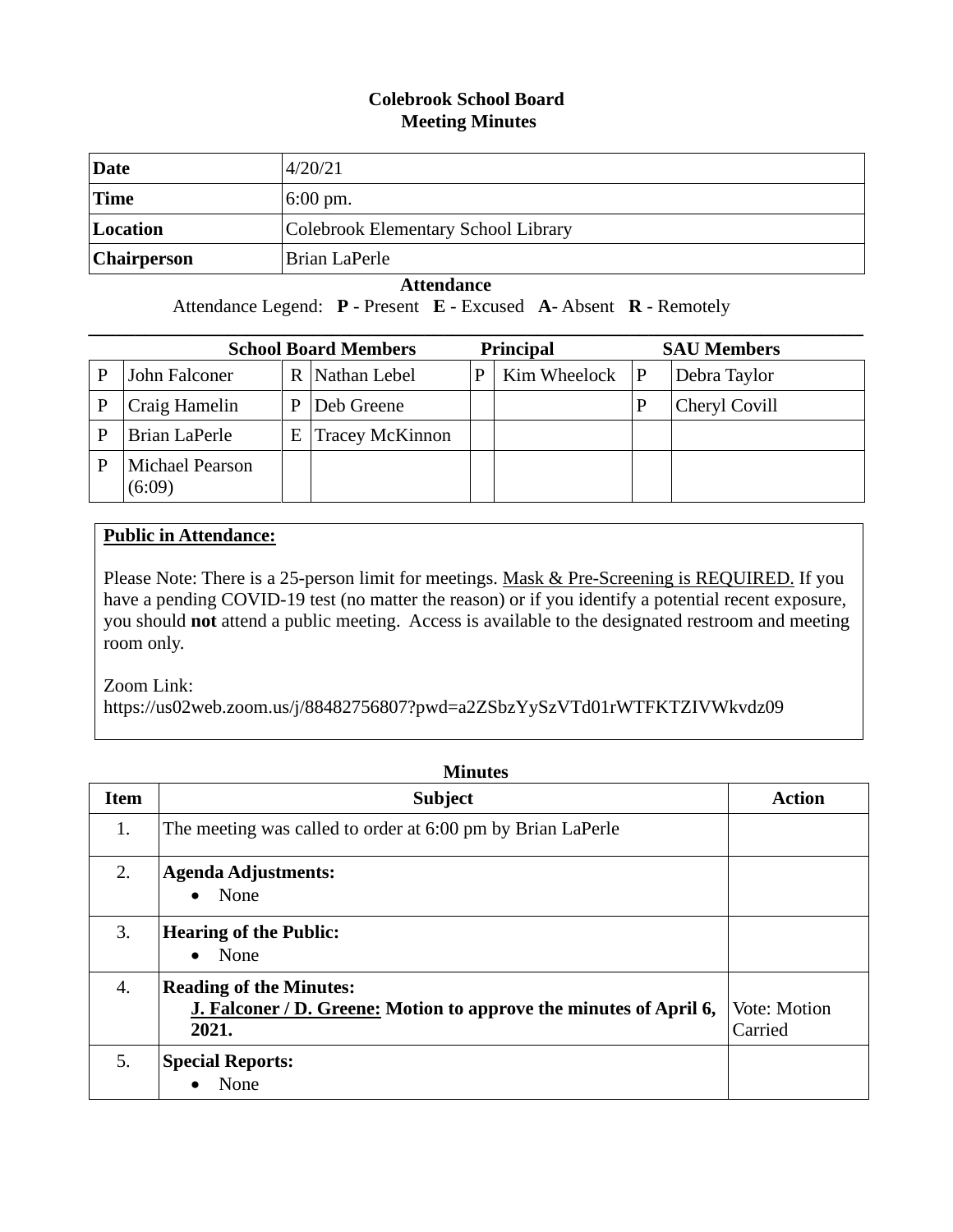## **Colebrook School Board Meeting Minutes**

| Date               | 4/20/21                             |
|--------------------|-------------------------------------|
| <b>Time</b>        | $6:00 \text{ pm}$ .                 |
| Location           | Colebrook Elementary School Library |
| <b>Chairperson</b> | Brian LaPerle                       |

 **Attendance**

Attendance Legend: **P** - Present **E** - Excused **A**- Absent **R** - Remotely

|   | <b>School Board Members</b>      |   |                        | <b>Principal</b> |              |   | <b>SAU Members</b> |  |
|---|----------------------------------|---|------------------------|------------------|--------------|---|--------------------|--|
|   | John Falconer                    |   | R Nathan Lebel         |                  | Kim Wheelock | P | Debra Taylor       |  |
|   | Craig Hamelin                    | P | Deb Greene             |                  |              |   | Cheryl Covill      |  |
| P | <b>Brian LaPerle</b>             | E | <b>Tracey McKinnon</b> |                  |              |   |                    |  |
|   | <b>Michael Pearson</b><br>(6:09) |   |                        |                  |              |   |                    |  |

## **Public in Attendance:**

Please Note: There is a 25-person limit for meetings. Mask & Pre-Screening is REQUIRED. If you have a pending COVID-19 test (no matter the reason) or if you identify a potential recent exposure, you should **not** attend a public meeting. Access is available to the designated restroom and meeting room only.

Zoom Link:

https://us02web.zoom.us/j/88482756807?pwd=a2ZSbzYySzVTd01rWTFKTZIVWkvdz09

| <b>Minutes</b> |                                                                                                               |                         |  |
|----------------|---------------------------------------------------------------------------------------------------------------|-------------------------|--|
| <b>Item</b>    | <b>Subject</b>                                                                                                | <b>Action</b>           |  |
| 1.             | The meeting was called to order at 6:00 pm by Brian LaPerle                                                   |                         |  |
| 2.             | <b>Agenda Adjustments:</b><br>$\bullet$ None                                                                  |                         |  |
| 3.             | <b>Hearing of the Public:</b><br>None<br>$\bullet$                                                            |                         |  |
| 4.             | <b>Reading of the Minutes:</b><br>J. Falconer / D. Greene: Motion to approve the minutes of April 6,<br>2021. | Vote: Motion<br>Carried |  |
| 5.             | <b>Special Reports:</b><br>None                                                                               |                         |  |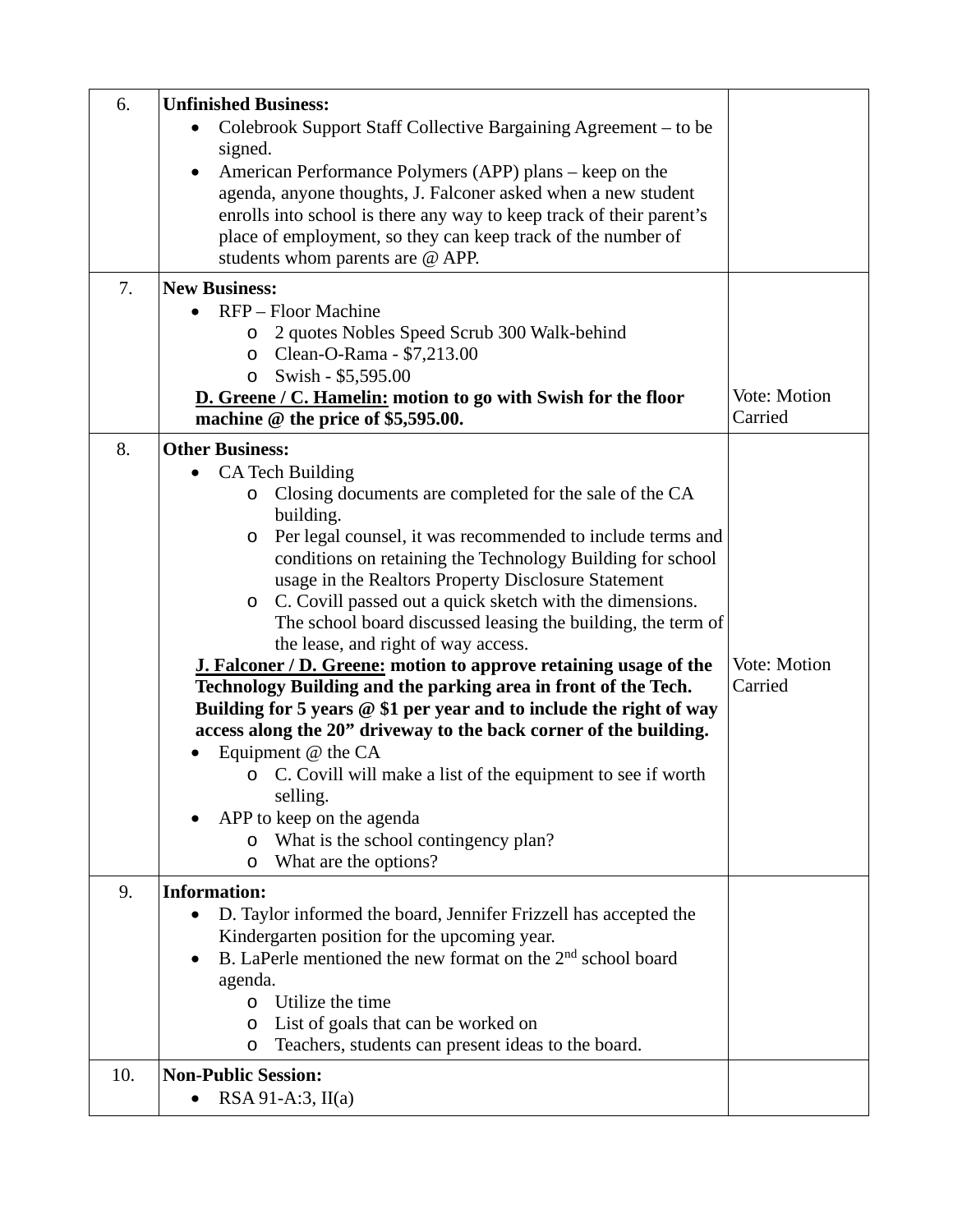| 6.  | <b>Unfinished Business:</b>                                                                                                   |              |
|-----|-------------------------------------------------------------------------------------------------------------------------------|--------------|
|     | Colebrook Support Staff Collective Bargaining Agreement – to be                                                               |              |
|     | signed.                                                                                                                       |              |
|     | American Performance Polymers (APP) plans – keep on the                                                                       |              |
|     | agenda, anyone thoughts, J. Falconer asked when a new student                                                                 |              |
|     | enrolls into school is there any way to keep track of their parent's                                                          |              |
|     | place of employment, so they can keep track of the number of<br>students whom parents are @ APP.                              |              |
|     |                                                                                                                               |              |
| 7.  | <b>New Business:</b><br>RFP – Floor Machine                                                                                   |              |
|     | 2 quotes Nobles Speed Scrub 300 Walk-behind                                                                                   |              |
|     | O<br>Clean-O-Rama - \$7,213.00<br>$\circ$                                                                                     |              |
|     | Swish - \$5,595.00<br>$\circ$                                                                                                 |              |
|     | <b>D.</b> Greene / C. Hamelin: motion to go with Swish for the floor                                                          | Vote: Motion |
|     | machine @ the price of \$5,595.00.                                                                                            | Carried      |
| 8.  | <b>Other Business:</b>                                                                                                        |              |
|     | CA Tech Building<br>$\bullet$                                                                                                 |              |
|     | Closing documents are completed for the sale of the CA<br>O                                                                   |              |
|     | building.                                                                                                                     |              |
|     | Per legal counsel, it was recommended to include terms and<br>O                                                               |              |
|     | conditions on retaining the Technology Building for school                                                                    |              |
|     | usage in the Realtors Property Disclosure Statement                                                                           |              |
|     | C. Covill passed out a quick sketch with the dimensions.<br>O<br>The school board discussed leasing the building, the term of |              |
|     | the lease, and right of way access.                                                                                           |              |
|     | <b>J. Falconer / D. Greene: motion to approve retaining usage of the</b>                                                      | Vote: Motion |
|     | Technology Building and the parking area in front of the Tech.                                                                | Carried      |
|     | Building for 5 years @ \$1 per year and to include the right of way                                                           |              |
|     | access along the 20" driveway to the back corner of the building.                                                             |              |
|     | Equipment @ the CA                                                                                                            |              |
|     | o C. Covill will make a list of the equipment to see if worth                                                                 |              |
|     | selling.                                                                                                                      |              |
|     | APP to keep on the agenda                                                                                                     |              |
|     | What is the school contingency plan?<br>O                                                                                     |              |
|     | What are the options?<br>O                                                                                                    |              |
| 9.  | <b>Information:</b>                                                                                                           |              |
|     | D. Taylor informed the board, Jennifer Frizzell has accepted the<br>$\bullet$                                                 |              |
|     | Kindergarten position for the upcoming year.                                                                                  |              |
|     | B. LaPerle mentioned the new format on the 2 <sup>nd</sup> school board                                                       |              |
|     | agenda.<br>Utilize the time                                                                                                   |              |
|     | $\circ$<br>List of goals that can be worked on<br>$\circ$                                                                     |              |
|     | Teachers, students can present ideas to the board.<br>O                                                                       |              |
| 10. | <b>Non-Public Session:</b>                                                                                                    |              |
|     | $RSA 91-A:3, II(a)$                                                                                                           |              |
|     |                                                                                                                               |              |